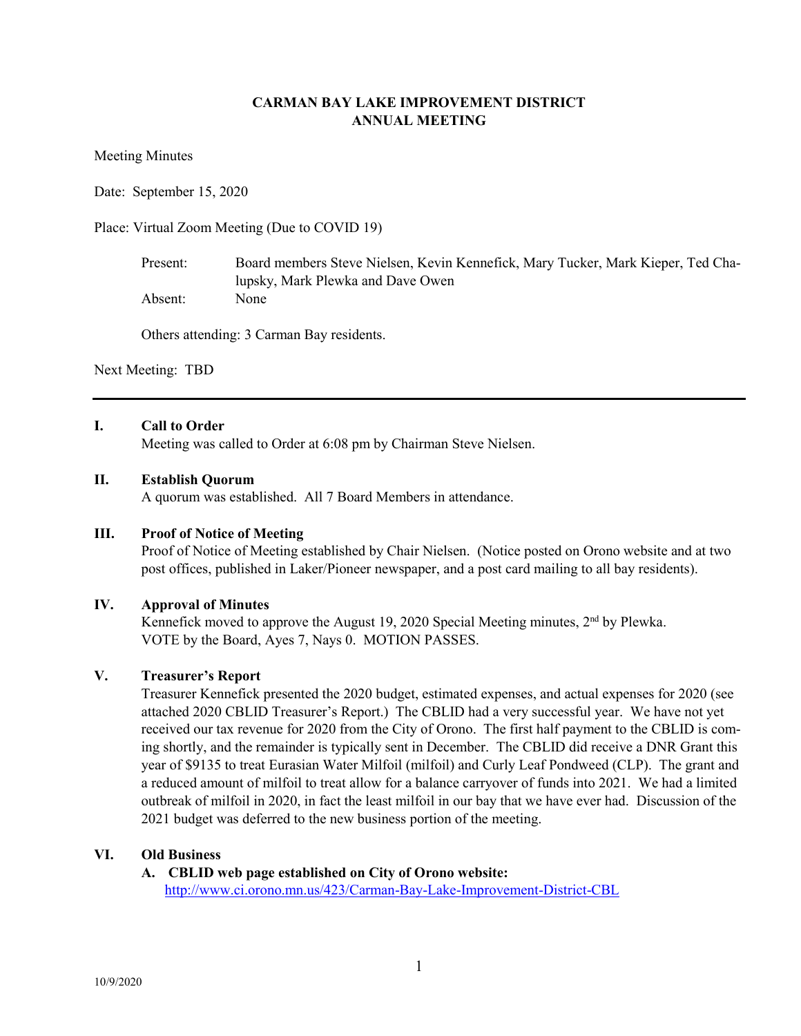# **CARMAN BAY LAKE IMPROVEMENT DISTRICT ANNUAL MEETING**

Meeting Minutes

Date: September 15, 2020

Place: Virtual Zoom Meeting (Due to COVID 19)

Present: Board members Steve Nielsen, Kevin Kennefick, Mary Tucker, Mark Kieper, Ted Chalupsky, Mark Plewka and Dave Owen Absent: None

Others attending: 3 Carman Bay residents.

Next Meeting: TBD

## **I. Call to Order**

Meeting was called to Order at 6:08 pm by Chairman Steve Nielsen.

#### **II. Establish Quorum**

A quorum was established. All 7 Board Members in attendance.

#### **III. Proof of Notice of Meeting**

Proof of Notice of Meeting established by Chair Nielsen. (Notice posted on Orono website and at two post offices, published in Laker/Pioneer newspaper, and a post card mailing to all bay residents).

# **IV. Approval of Minutes**

Kennefick moved to approve the August 19, 2020 Special Meeting minutes,  $2<sup>nd</sup>$  by Plewka. VOTE by the Board, Ayes 7, Nays 0. MOTION PASSES.

# **V. Treasurer's Report**

Treasurer Kennefick presented the 2020 budget, estimated expenses, and actual expenses for 2020 (see attached 2020 CBLID Treasurer's Report.) The CBLID had a very successful year. We have not yet received our tax revenue for 2020 from the City of Orono. The first half payment to the CBLID is coming shortly, and the remainder is typically sent in December. The CBLID did receive a DNR Grant this year of \$9135 to treat Eurasian Water Milfoil (milfoil) and Curly Leaf Pondweed (CLP). The grant and a reduced amount of milfoil to treat allow for a balance carryover of funds into 2021. We had a limited outbreak of milfoil in 2020, in fact the least milfoil in our bay that we have ever had. Discussion of the 2021 budget was deferred to the new business portion of the meeting.

#### **VI. Old Business**

# **A. CBLID web page established on City of Orono website:**

http://www.ci.orono.mn.us/423/Carman-Bay-Lake-Improvement-District-CBL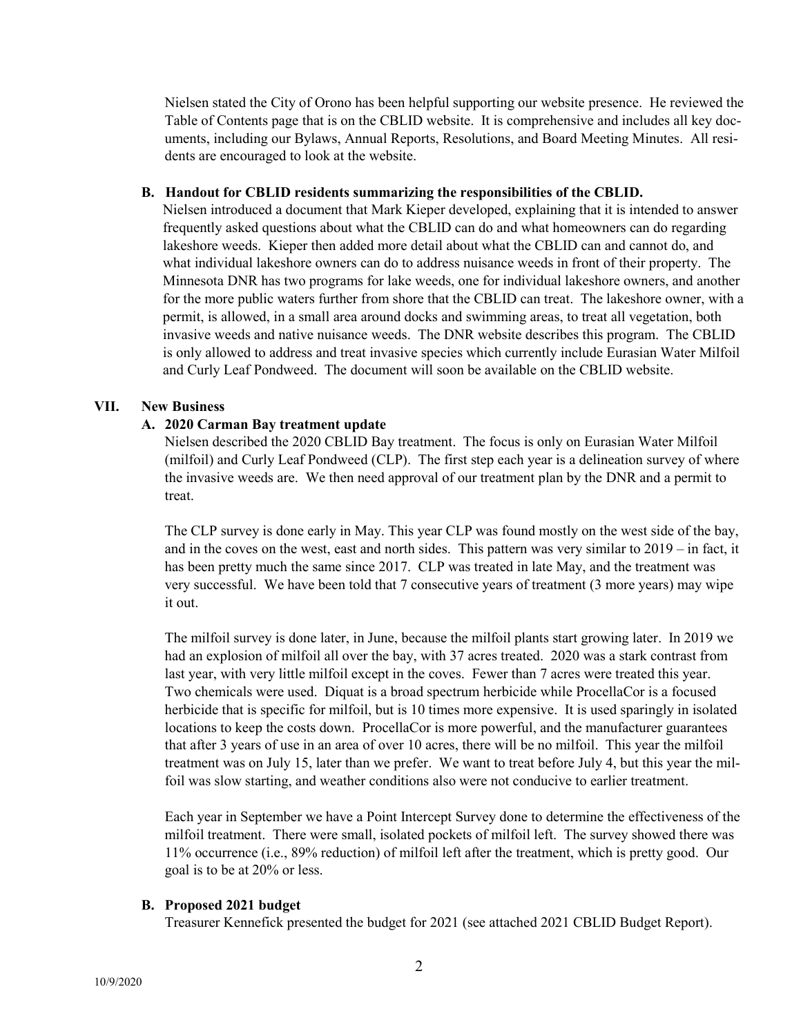Nielsen stated the City of Orono has been helpful supporting our website presence. He reviewed the Table of Contents page that is on the CBLID website. It is comprehensive and includes all key documents, including our Bylaws, Annual Reports, Resolutions, and Board Meeting Minutes. All residents are encouraged to look at the website.

#### **B. Handout for CBLID residents summarizing the responsibilities of the CBLID.**

Nielsen introduced a document that Mark Kieper developed, explaining that it is intended to answer frequently asked questions about what the CBLID can do and what homeowners can do regarding lakeshore weeds. Kieper then added more detail about what the CBLID can and cannot do, and what individual lakeshore owners can do to address nuisance weeds in front of their property. The Minnesota DNR has two programs for lake weeds, one for individual lakeshore owners, and another for the more public waters further from shore that the CBLID can treat. The lakeshore owner, with a permit, is allowed, in a small area around docks and swimming areas, to treat all vegetation, both invasive weeds and native nuisance weeds. The DNR website describes this program. The CBLID is only allowed to address and treat invasive species which currently include Eurasian Water Milfoil and Curly Leaf Pondweed. The document will soon be available on the CBLID website.

## **VII. New Business**

## **A. 2020 Carman Bay treatment update**

Nielsen described the 2020 CBLID Bay treatment. The focus is only on Eurasian Water Milfoil (milfoil) and Curly Leaf Pondweed (CLP). The first step each year is a delineation survey of where the invasive weeds are. We then need approval of our treatment plan by the DNR and a permit to treat.

The CLP survey is done early in May. This year CLP was found mostly on the west side of the bay, and in the coves on the west, east and north sides. This pattern was very similar to 2019 – in fact, it has been pretty much the same since 2017. CLP was treated in late May, and the treatment was very successful. We have been told that 7 consecutive years of treatment (3 more years) may wipe it out.

The milfoil survey is done later, in June, because the milfoil plants start growing later. In 2019 we had an explosion of milfoil all over the bay, with 37 acres treated. 2020 was a stark contrast from last year, with very little milfoil except in the coves. Fewer than 7 acres were treated this year. Two chemicals were used. Diquat is a broad spectrum herbicide while ProcellaCor is a focused herbicide that is specific for milfoil, but is 10 times more expensive. It is used sparingly in isolated locations to keep the costs down. ProcellaCor is more powerful, and the manufacturer guarantees that after 3 years of use in an area of over 10 acres, there will be no milfoil. This year the milfoil treatment was on July 15, later than we prefer. We want to treat before July 4, but this year the milfoil was slow starting, and weather conditions also were not conducive to earlier treatment.

Each year in September we have a Point Intercept Survey done to determine the effectiveness of the milfoil treatment. There were small, isolated pockets of milfoil left. The survey showed there was 11% occurrence (i.e., 89% reduction) of milfoil left after the treatment, which is pretty good. Our goal is to be at 20% or less.

#### **B. Proposed 2021 budget**

Treasurer Kennefick presented the budget for 2021 (see attached 2021 CBLID Budget Report).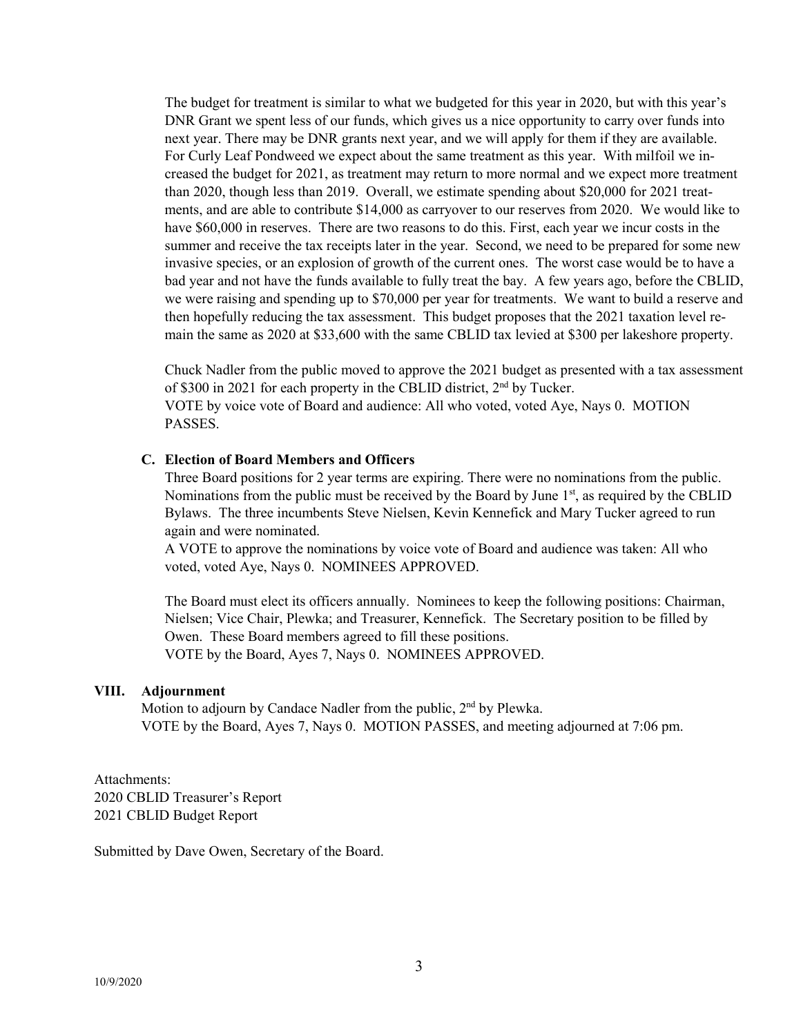The budget for treatment is similar to what we budgeted for this year in 2020, but with this year's DNR Grant we spent less of our funds, which gives us a nice opportunity to carry over funds into next year. There may be DNR grants next year, and we will apply for them if they are available. For Curly Leaf Pondweed we expect about the same treatment as this year. With milfoil we increased the budget for 2021, as treatment may return to more normal and we expect more treatment than 2020, though less than 2019. Overall, we estimate spending about \$20,000 for 2021 treatments, and are able to contribute \$14,000 as carryover to our reserves from 2020. We would like to have \$60,000 in reserves. There are two reasons to do this. First, each year we incur costs in the summer and receive the tax receipts later in the year. Second, we need to be prepared for some new invasive species, or an explosion of growth of the current ones. The worst case would be to have a bad year and not have the funds available to fully treat the bay. A few years ago, before the CBLID, we were raising and spending up to \$70,000 per year for treatments. We want to build a reserve and then hopefully reducing the tax assessment. This budget proposes that the 2021 taxation level remain the same as 2020 at \$33,600 with the same CBLID tax levied at \$300 per lakeshore property.

Chuck Nadler from the public moved to approve the 2021 budget as presented with a tax assessment of \$300 in 2021 for each property in the CBLID district, 2nd by Tucker. VOTE by voice vote of Board and audience: All who voted, voted Aye, Nays 0. MOTION PASSES.

#### **C. Election of Board Members and Officers**

Three Board positions for 2 year terms are expiring. There were no nominations from the public. Nominations from the public must be received by the Board by June 1<sup>st</sup>, as required by the CBLID Bylaws. The three incumbents Steve Nielsen, Kevin Kennefick and Mary Tucker agreed to run again and were nominated.

A VOTE to approve the nominations by voice vote of Board and audience was taken: All who voted, voted Aye, Nays 0. NOMINEES APPROVED.

The Board must elect its officers annually. Nominees to keep the following positions: Chairman, Nielsen; Vice Chair, Plewka; and Treasurer, Kennefick. The Secretary position to be filled by Owen. These Board members agreed to fill these positions. VOTE by the Board, Ayes 7, Nays 0. NOMINEES APPROVED.

#### **VIII. Adjournment**

Motion to adjourn by Candace Nadler from the public, 2<sup>nd</sup> by Plewka. VOTE by the Board, Ayes 7, Nays 0. MOTION PASSES, and meeting adjourned at 7:06 pm.

Attachments: 2020 CBLID Treasurer's Report 2021 CBLID Budget Report

Submitted by Dave Owen, Secretary of the Board.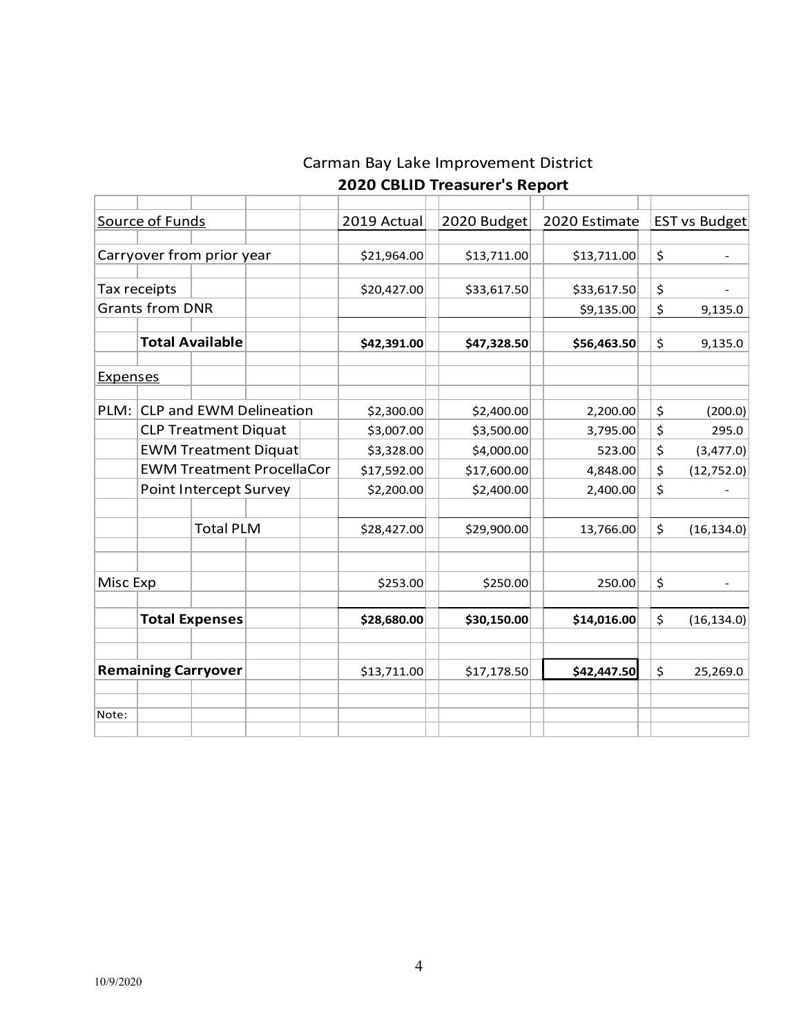# Carman Bay Lake Improvement District  **2020 CBLID Treasurer's Report**

|                            | Source of Funds                  |                             |                                | 2019 Actual | 2020 Budget | 2020 Estimate |               | <b>EST vs Budget</b> |  |
|----------------------------|----------------------------------|-----------------------------|--------------------------------|-------------|-------------|---------------|---------------|----------------------|--|
|                            | Carryover from prior year        |                             | \$21,964.00                    | \$13,711.00 | \$13,711.00 | \$            |               |                      |  |
|                            | Tax receipts                     |                             |                                | \$20,427.00 | \$33,617.50 | \$33,617.50   | \$            |                      |  |
|                            | <b>Grants from DNR</b>           |                             |                                |             |             | \$9,135.00    | \$<br>9,135.0 |                      |  |
|                            |                                  | <b>Total Available</b>      |                                | \$42,391.00 | \$47,328.50 | \$56,463.50   | \$            | 9,135.0              |  |
| <b>Expenses</b>            |                                  |                             |                                |             |             |               |               |                      |  |
| PLM:                       |                                  |                             | <b>CLP and EWM Delineation</b> | \$2,300.00  | \$2,400.00  | 2,200.00      | \$            | (200.0)              |  |
|                            |                                  | <b>CLP Treatment Diquat</b> |                                | \$3,007.00  | \$3,500.00  | 3,795.00      | \$            | 295.0                |  |
|                            | <b>EWM Treatment Diquat</b>      |                             | \$3,328.00                     | \$4,000.00  |             | \$            | (3, 477.0)    |                      |  |
|                            | <b>EWM Treatment ProcellaCor</b> |                             |                                | \$17,592.00 | \$17,600.00 | 4,848.00      | \$            | (12, 752.0)          |  |
|                            | Point Intercept Survey           |                             |                                | \$2,200.00  | \$2,400.00  | 2,400.00      |               |                      |  |
|                            |                                  | <b>Total PLM</b>            |                                | \$28,427.00 | \$29,900.00 | 13,766.00     | \$            | (16, 134.0)          |  |
| Misc Exp                   |                                  |                             |                                | \$253.00    | \$250.00    | 250.00        | \$            |                      |  |
|                            |                                  | <b>Total Expenses</b>       |                                | \$28,680.00 | \$30,150.00 | \$14,016.00   | \$            | (16, 134.0)          |  |
| <b>Remaining Carryover</b> |                                  |                             |                                | \$13,711.00 | \$17,178.50 | \$42,447.50   |               | 25,269.0             |  |
| Note:                      |                                  |                             |                                |             |             |               |               |                      |  |